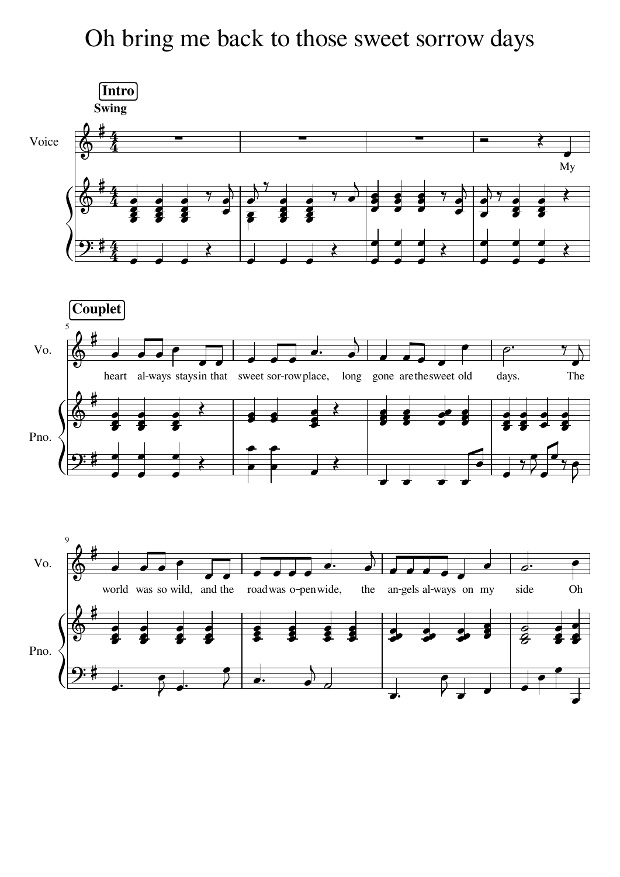## Oh bring me back to those sweet sorrow days

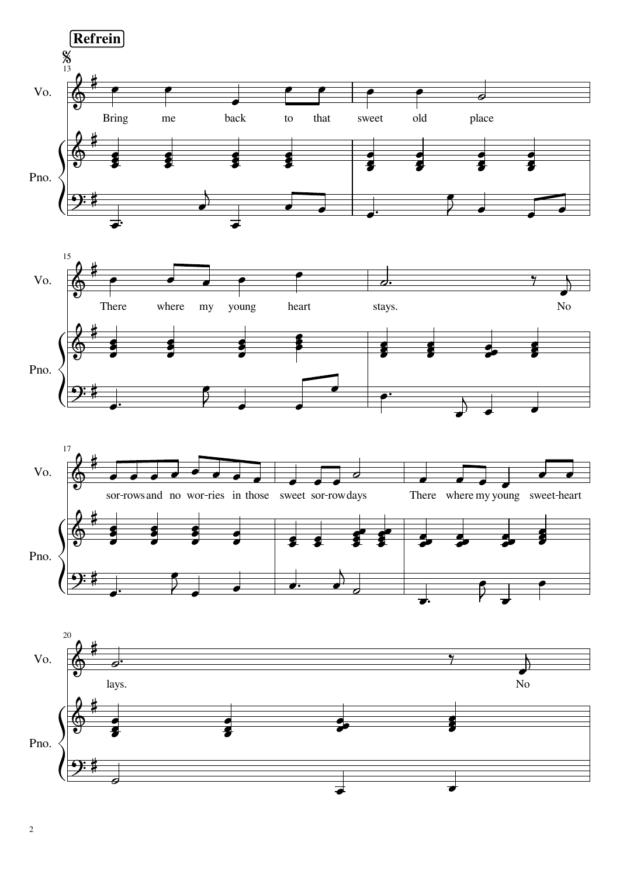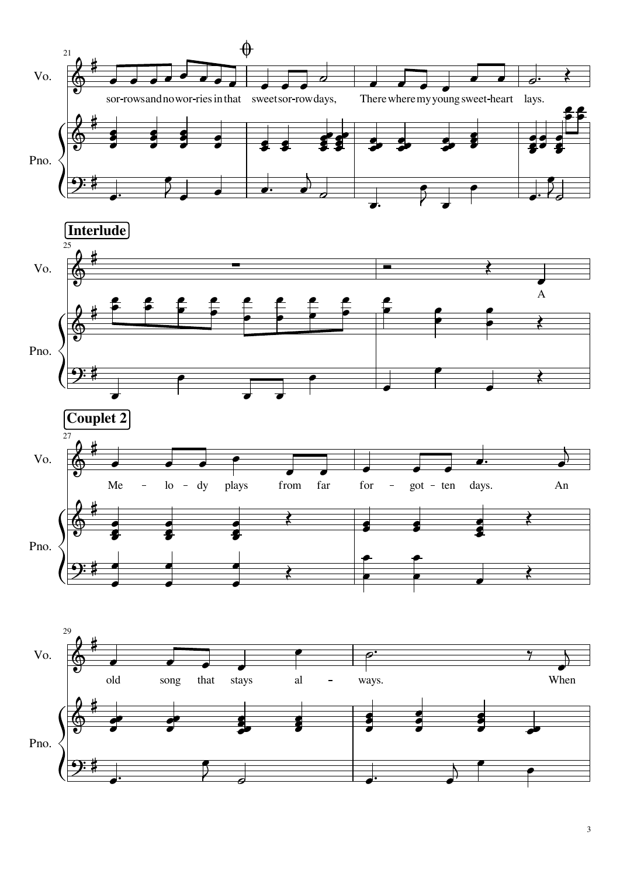